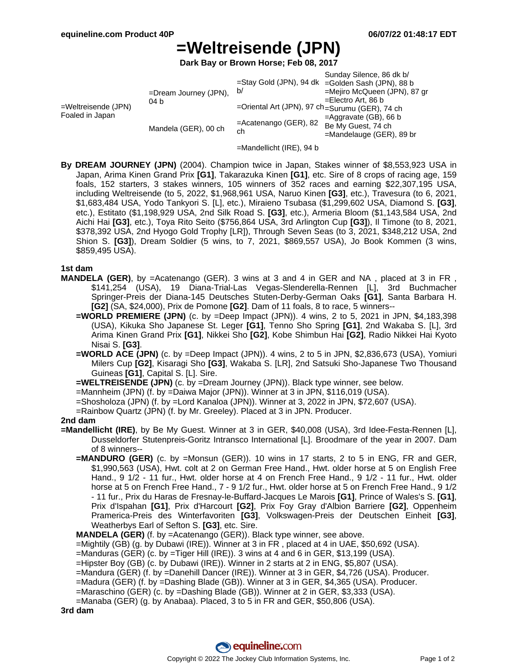# **=Weltreisende (JPN)**

**Dark Bay or Brown Horse; Feb 08, 2017**

|                                           |                                  |                                                | Sunday Silence, 86 dk b/                         |
|-------------------------------------------|----------------------------------|------------------------------------------------|--------------------------------------------------|
|                                           |                                  |                                                | =Stay Gold (JPN), 94 dk =Golden Sash (JPN), 88 b |
| $=$ Weltreisende (JPN)<br>Foaled in Japan | $=$ Dream Journey (JPN),<br>04 b | b/                                             | =Mejiro McQueen (JPN), 87 gr                     |
|                                           |                                  |                                                | $=$ Electro Art, 86 b                            |
|                                           |                                  | =Oriental Art (JPN), 97 ch=Surumu (GER), 74 ch |                                                  |
|                                           | Mandela (GER), 00 ch             | $=$ Acatenango (GER), 82<br>ch                 | $=$ Aggravate (GB), 66 b                         |
|                                           |                                  |                                                | Be My Guest, 74 ch                               |
|                                           |                                  |                                                | $=$ Mandelauge (GER), 89 br                      |

=Mandellicht (IRE), 94 b

**By DREAM JOURNEY (JPN)** (2004). Champion twice in Japan, Stakes winner of \$8,553,923 USA in Japan, Arima Kinen Grand Prix **[G1]**, Takarazuka Kinen **[G1]**, etc. Sire of 8 crops of racing age, 159 foals, 152 starters, 3 stakes winners, 105 winners of 352 races and earning \$22,307,195 USA, including Weltreisende (to 5, 2022, \$1,968,961 USA, Naruo Kinen **[G3]**, etc.), Travesura (to 6, 2021, \$1,683,484 USA, Yodo Tankyori S. [L], etc.), Miraieno Tsubasa (\$1,299,602 USA, Diamond S. **[G3]**, etc.), Estitato (\$1,198,929 USA, 2nd Silk Road S. **[G3]**, etc.), Armeria Bloom (\$1,143,584 USA, 2nd Aichi Hai **[G3]**, etc.), Toya Rito Seito (\$756,864 USA, 3rd Arlington Cup **[G3]**), Il Timone (to 8, 2021, \$378,392 USA, 2nd Hyogo Gold Trophy [LR]), Through Seven Seas (to 3, 2021, \$348,212 USA, 2nd Shion S. **[G3]**), Dream Soldier (5 wins, to 7, 2021, \$869,557 USA), Jo Book Kommen (3 wins, \$859,495 USA).

### **1st dam**

- **MANDELA (GER)**, by =Acatenango (GER). 3 wins at 3 and 4 in GER and NA , placed at 3 in FR , \$141,254 (USA), 19 Diana-Trial-Las Vegas-Slenderella-Rennen [L], 3rd Buchmacher Springer-Preis der Diana-145 Deutsches Stuten-Derby-German Oaks **[G1]**, Santa Barbara H. **[G2]** (SA, \$24,000), Prix de Pomone **[G2]**. Dam of 11 foals, 8 to race, 5 winners--
	- **=WORLD PREMIERE (JPN)** (c. by =Deep Impact (JPN)). 4 wins, 2 to 5, 2021 in JPN, \$4,183,398 (USA), Kikuka Sho Japanese St. Leger **[G1]**, Tenno Sho Spring **[G1]**, 2nd Wakaba S. [L], 3rd Arima Kinen Grand Prix **[G1]**, Nikkei Sho **[G2]**, Kobe Shimbun Hai **[G2]**, Radio Nikkei Hai Kyoto Nisai S. **[G3]**.
	- **=WORLD ACE (JPN)** (c. by =Deep Impact (JPN)). 4 wins, 2 to 5 in JPN, \$2,836,673 (USA), Yomiuri Milers Cup **[G2]**, Kisaragi Sho **[G3]**, Wakaba S. [LR], 2nd Satsuki Sho-Japanese Two Thousand Guineas **[G1]**, Capital S. [L]. Sire.
	- **=WELTREISENDE (JPN)** (c. by =Dream Journey (JPN)). Black type winner, see below.
	- =Mannheim (JPN) (f. by =Daiwa Major (JPN)). Winner at 3 in JPN, \$116,019 (USA).
	- =Shosholoza (JPN) (f. by =Lord Kanaloa (JPN)). Winner at 3, 2022 in JPN, \$72,607 (USA).
	- =Rainbow Quartz (JPN) (f. by Mr. Greeley). Placed at 3 in JPN. Producer.

#### **2nd dam**

- **=Mandellicht (IRE)**, by Be My Guest. Winner at 3 in GER, \$40,008 (USA), 3rd Idee-Festa-Rennen [L], Dusseldorfer Stutenpreis-Goritz Intransco International [L]. Broodmare of the year in 2007. Dam of 8 winners--
	- **=MANDURO (GER)** (c. by =Monsun (GER)). 10 wins in 17 starts, 2 to 5 in ENG, FR and GER, \$1,990,563 (USA), Hwt. colt at 2 on German Free Hand., Hwt. older horse at 5 on English Free Hand., 9 1/2 - 11 fur., Hwt. older horse at 4 on French Free Hand., 9 1/2 - 11 fur., Hwt. older horse at 5 on French Free Hand., 7 - 9 1/2 fur., Hwt. older horse at 5 on French Free Hand., 9 1/2 - 11 fur., Prix du Haras de Fresnay-le-Buffard-Jacques Le Marois **[G1]**, Prince of Wales's S. **[G1]**, Prix d'Ispahan **[G1]**, Prix d'Harcourt **[G2]**, Prix Foy Gray d'Albion Barriere **[G2]**, Oppenheim Pramerica-Preis des Winterfavoriten **[G3]**, Volkswagen-Preis der Deutschen Einheit **[G3]**, Weatherbys Earl of Sefton S. **[G3]**, etc. Sire.

**MANDELA (GER)** (f. by =Acatenango (GER)). Black type winner, see above.

=Mightily (GB) (g. by Dubawi (IRE)). Winner at 3 in FR , placed at 4 in UAE, \$50,692 (USA).

- =Manduras (GER) (c. by =Tiger Hill (IRE)). 3 wins at 4 and 6 in GER, \$13,199 (USA).
- =Hipster Boy (GB) (c. by Dubawi (IRE)). Winner in 2 starts at 2 in ENG, \$5,807 (USA).
- =Mandura (GER) (f. by =Danehill Dancer (IRE)). Winner at 3 in GER, \$4,726 (USA). Producer.
- =Madura (GER) (f. by =Dashing Blade (GB)). Winner at 3 in GER, \$4,365 (USA). Producer.
- =Maraschino (GER) (c. by =Dashing Blade (GB)). Winner at 2 in GER, \$3,333 (USA).
- =Manaba (GER) (g. by Anabaa). Placed, 3 to 5 in FR and GER, \$50,806 (USA).

**3rd dam**